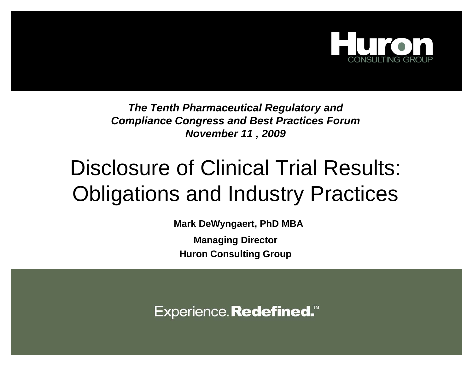

*The Tenth Pharmaceutical Regulatory and Compliance Congress and Best Practices Forum November 11 , 2009*

## Disclosure of Clinical Trial Results: Obligations and Industry Practices

**Mark DeWyngaert, PhD MBA**

**Managing Director Huron Consulting Group**

Experience. Redefined.<sup>™</sup>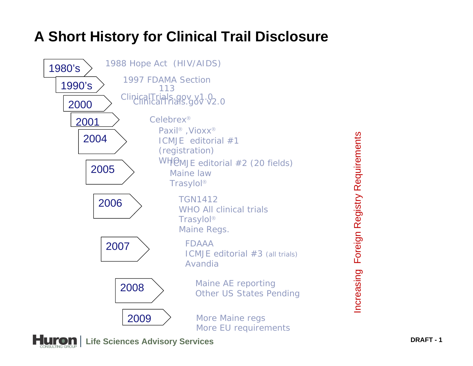#### **A Short History for Clinical Trail Disclosure**



Foreign Registry Requirements Increasing Foreign Registry RequirementsIncreasing



**Life Sciences Advisory Services DRAFT - <sup>1</sup>**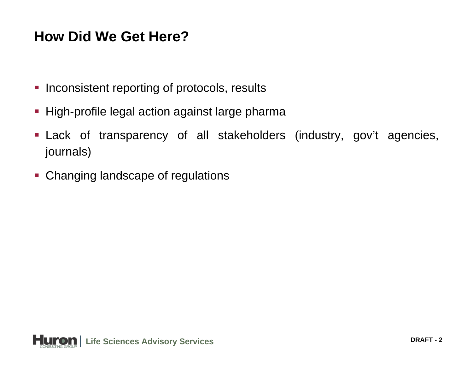#### **How Did We Get Here?**

- **Inconsistent reporting of protocols, results**
- **-** High-profile legal action against large pharma
- Lack of transparency of all stakeholders (industry, gov't agencies, journals)
- **Changing landscape of regulations**

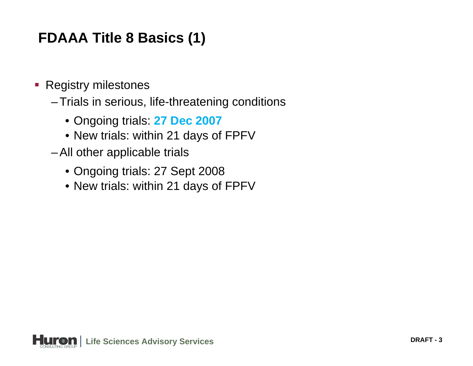### **FDAAA Title 8 Basics (1)**

- $\overline{\phantom{a}}$  Registry milestones
	- –Trials in serious, life-threatening conditions
		- Ongoing trials: **27 Dec 2007**
		- New trials: within 21 days of FPFV
	- –All other applicable trials
		- Ongoing trials: 27 Sept 2008
		- New trials: within 21 days of FPFV

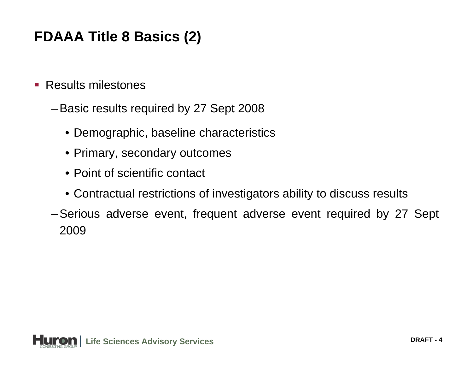#### **FDAAA Title 8 Basics (2)**

- $\mathcal{L}_{\mathcal{A}}$  Results milestones
	- –Basic results required by 27 Sept 2008
		- Demographic, baseline characteristics
		- Primary, secondary outcomes
		- Point of scientific contact
		- Contractual restrictions of investigators ability to discuss results
	- –Serious adverse event, frequent adverse event required by 27 Sept 2009

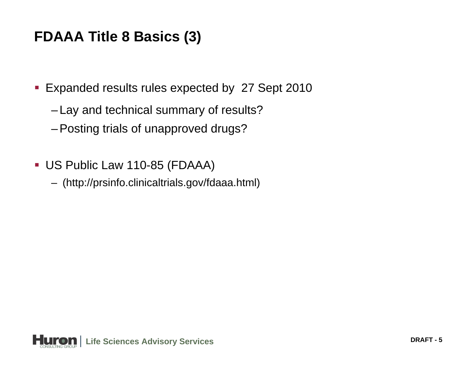#### **FDAAA Title 8 Basics (3)**

- **Expanded results rules expected by 27 Sept 2010** 
	- Lay and technical summary of results?
	- –Posting trials of unapproved drugs?
- US Public Law 110-85 (FDAAA)
	- (http://prsinfo.clinicaltrials.gov/fdaaa.html)

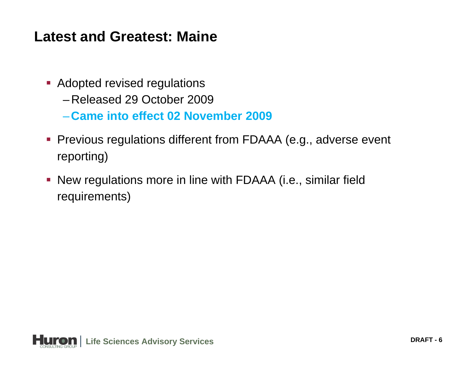#### **Latest and Greatest: Maine**

- **Adopted revised regulations** 
	- –Released 29 October 2009
	- –**Came into effect 02 November 2009**
- Previous regulations different from FDAAA (e.g., adverse event reporting)
- New regulations more in line with FDAAA (i.e., similar field requirements)

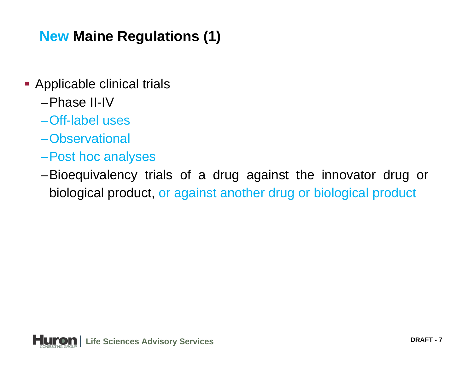#### **New Maine Regulations (1)**

- **-** Applicable clinical trials
	- –Phase II-IV
	- –Off-label uses
	- –Observational
	- –Post hoc analyses
	- –Bioequivalency trials of a drug against the innovator drug or biological product, or against another drug or biological product

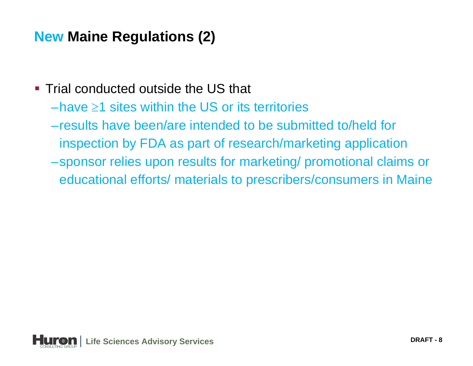#### **New Maine Regulations (2)**

- **Trial conducted outside the US that** 
	- –have  $\geq$ 1 sites within the US or its territories
	- –results have been/are intended to be submitted to/held for inspection by FDA as part of research/marketing application
	- –sponsor relies upon results for marketing/ promotional claims or educational efforts/ materials to prescribers/consumers in Maine

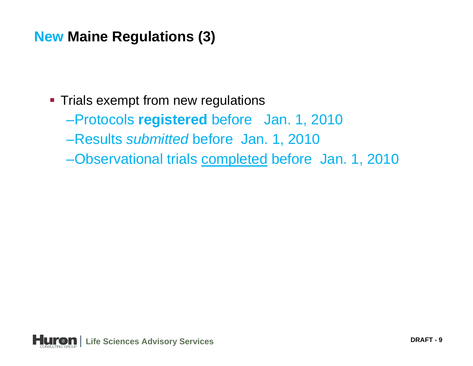#### **New Maine Regulations (3)**

- **Trials exempt from new regulations** 
	- –Protocols **registered** before Jan. 1, 2010
	- –Results *submitted* before Jan. 1, 2010
	- –Observational trials completed before Jan. 1, 2010

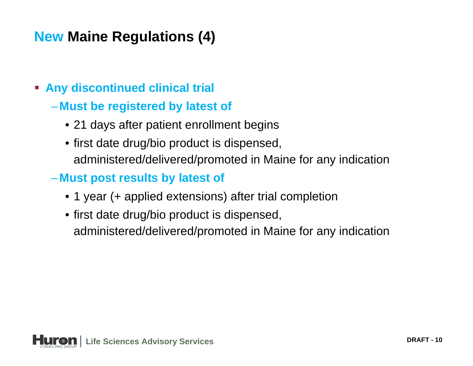#### **New Maine Regulations (4)**

- **Any discontinued clinical trial**
	- **Must be registered by latest of**
		- 21 days after patient enrollment begins
		- first date drug/bio product is dispensed, administered/delivered/promoted in Maine for any indication
	- **Must post results by latest of**
		- 1 year (+ applied extensions) after trial completion
		- first date drug/bio product is dispensed, administered/delivered/promoted in Maine for any indication

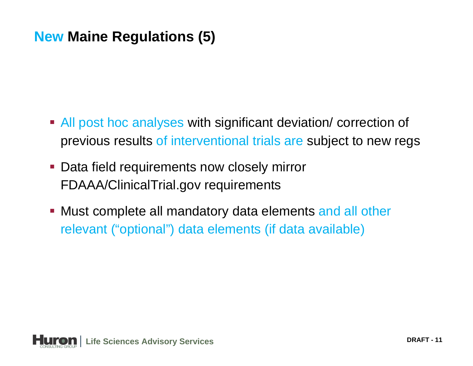#### **New Maine Regulations (5)**

- **All post hoc analyses with significant deviation/ correction of** previous results of interventional trials are subject to new regs
- **Data field requirements now closely mirror** FDAAA/ClinicalTrial.gov requirements
- **Must complete all mandatory data elements and all other** relevant ("optional") data elements (if data available)

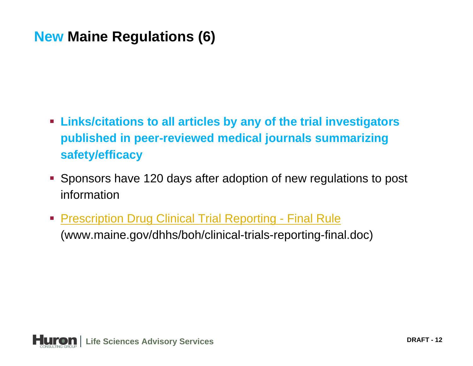#### **New Maine Regulations (6)**

- **Links/citations to all articles by any of the trial investigators published in peer-reviewed medical journals summarizing safety/efficacy**
- Sponsors have 120 days after adoption of new regulations to post information
- **[Prescription Drug Clinical Trial Reporting -](http://www.maine.gov/dhhs/boh/clinical-trials-reporting-final.doc) Final Rule** (www.maine.gov/dhhs/boh/clinical-trials-reporting-final.doc)

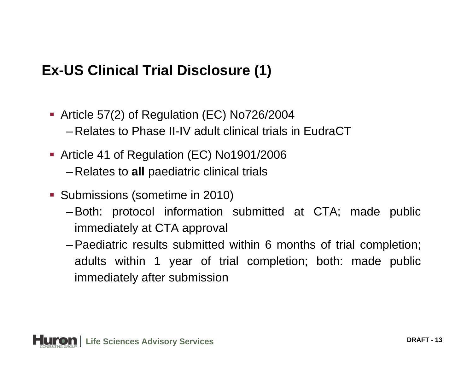#### **Ex-US Clinical Trial Disclosure (1)**

- Article 57(2) of Regulation (EC) No726/2004 –Relates to Phase II-IV adult clinical trials in EudraCT
- Article 41 of Regulation (EC) No1901/2006 –Relates to **all** paediatric clinical trials
- **Submissions (sometime in 2010)** 
	- –Both: protocol information submitted at CTA; made public immediately at CTA approval
	- –Paediatric results submitted within 6 months of trial completion; adults within 1 year of trial completion; both: made public immediately after submission

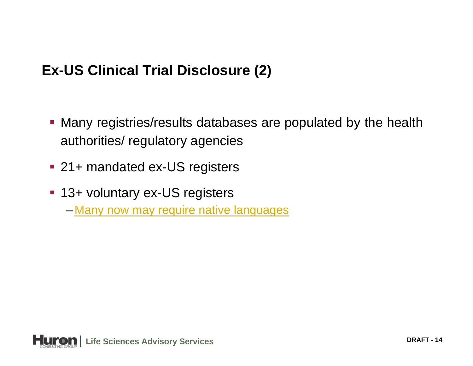#### **Ex-US Clinical Trial Disclosure (2)**

- Many registries/results databases are populated by the health authorities/ regulatory agencies
- 21+ mandated ex-US registers
- 13+ voluntary ex-US registers
	- –<u>– [Many now may require native languages](http://www.maine.gov/dhhs/boh/clinical-trials-reporting-final.doc)</u>

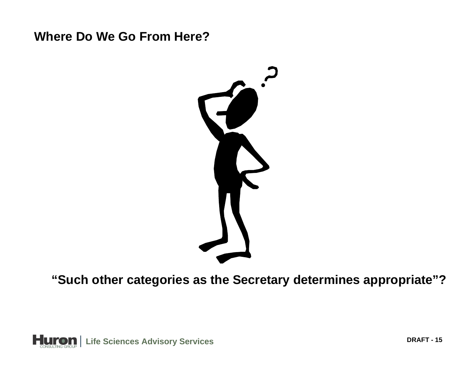#### **Where Do We Go From Here?**



**"Such other categories as the Secretary determines appropriate"?**

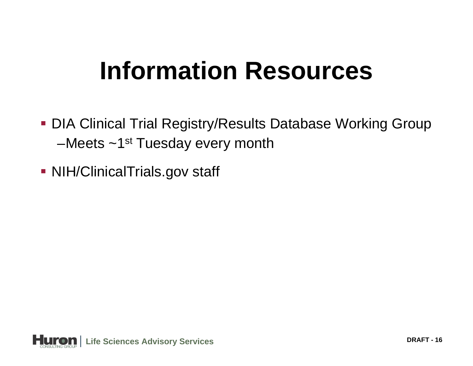# **Information Resources**

- DIA Clinical Trial Registry/Results Database Working Group –Meets  $\sim$ 1<sup>st</sup> Tuesday every month
- NIH/ClinicalTrials.gov staff